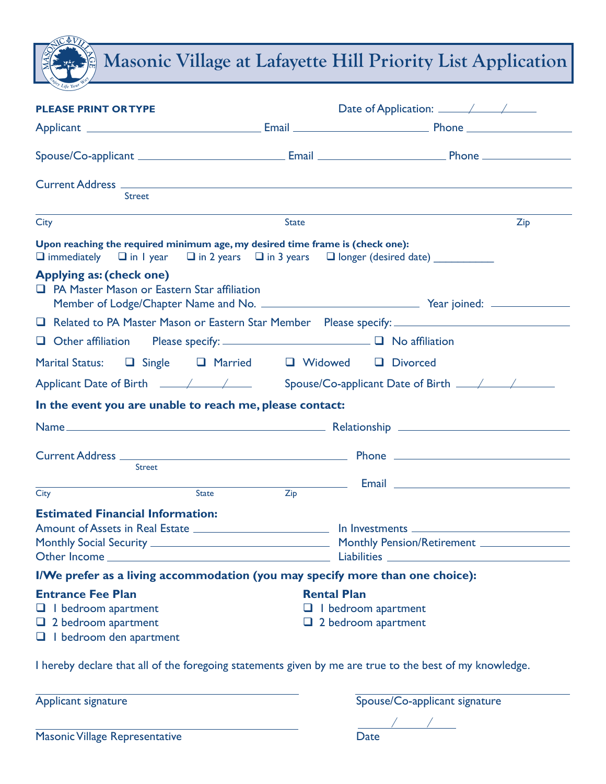Masonic Village at Lafayette Hill Priority List Application

| <b>PLEASE PRINT OR TYPE</b>                                                                                    |                                                          |                               |  |
|----------------------------------------------------------------------------------------------------------------|----------------------------------------------------------|-------------------------------|--|
|                                                                                                                |                                                          |                               |  |
|                                                                                                                |                                                          |                               |  |
|                                                                                                                |                                                          |                               |  |
| <b>Street</b>                                                                                                  |                                                          |                               |  |
| <b>City</b>                                                                                                    | <b>State</b>                                             | Zip                           |  |
| Upon reaching the required minimum age, my desired time frame is (check one):                                  |                                                          |                               |  |
| Applying as: (check one)<br><b>Q</b> PA Master Mason or Eastern Star affiliation                               |                                                          |                               |  |
|                                                                                                                |                                                          |                               |  |
| □ Other affiliation Please specify: _________________________ □ No affiliation                                 |                                                          |                               |  |
| Marital Status: <b>Q</b> Single <b>Q</b> Married <b>Q</b> Widowed <b>Q</b> Divorced                            |                                                          |                               |  |
|                                                                                                                |                                                          |                               |  |
| In the event you are unable to reach me, please contact:                                                       |                                                          |                               |  |
|                                                                                                                |                                                          |                               |  |
|                                                                                                                |                                                          |                               |  |
| <b>Street</b>                                                                                                  |                                                          |                               |  |
| <b>State</b><br>City                                                                                           | Zip                                                      |                               |  |
| <b>Estimated Financial Information:</b>                                                                        |                                                          |                               |  |
| Amount of Assets in Real Estate _________________________________ In Investments _____________________________ |                                                          |                               |  |
|                                                                                                                |                                                          |                               |  |
| Other Income_                                                                                                  |                                                          | Liabilities _                 |  |
| I/We prefer as a living accommodation (you may specify more than one choice):                                  |                                                          |                               |  |
| <b>Entrance Fee Plan</b>                                                                                       | <b>Rental Plan</b>                                       |                               |  |
| $\Box$ I bedroom apartment<br>$\Box$ 2 bedroom apartment                                                       | $\Box$ I bedroom apartment<br>$\Box$ 2 bedroom apartment |                               |  |
| $\Box$ I bedroom den apartment                                                                                 |                                                          |                               |  |
| I hereby declare that all of the foregoing statements given by me are true to the best of my knowledge.        |                                                          |                               |  |
| Applicant signature                                                                                            |                                                          | Spouse/Co-applicant signature |  |

| <b>Masonic Village Representative</b> | Date |
|---------------------------------------|------|
|                                       |      |

 $\spadesuit\overline{V}$ 

/ /